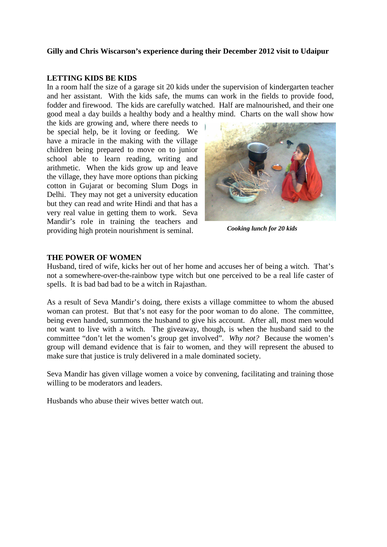## **Gilly and Chris Wiscarson's experience during their December 2012 visit to Udaipur**

### **LETTING KIDS BE KIDS**

In a room half the size of a garage sit 20 kids under the supervision of kindergarten teacher and her assistant. With the kids safe, the mums can work in the fields to provide food, fodder and firewood. The kids are carefully watched. Half are malnourished, and their one good meal a day builds a healthy body and a healthy mind. Charts on the wall show how

the kids are growing and, where there needs to be special help, be it loving or feeding. We have a miracle in the making with the village children being prepared to move on to junior school able to learn reading, writing and arithmetic. When the kids grow up and leave the village, they have more options than picking cotton in Gujarat or becoming Slum Dogs in Delhi. They may not get a university education but they can read and write Hindi and that has a very real value in getting them to work. Seva Mandir's role in training the teachers and providing high protein nourishment is seminal.



*Cooking lunch for 20 kids* 

#### **THE POWER OF WOMEN**

Husband, tired of wife, kicks her out of her home and accuses her of being a witch. That's not a somewhere-over-the-rainbow type witch but one perceived to be a real life caster of spells. It is bad bad bad to be a witch in Rajasthan.

As a result of Seva Mandir's doing, there exists a village committee to whom the abused woman can protest. But that's not easy for the poor woman to do alone. The committee, being even handed, summons the husband to give his account. After all, most men would not want to live with a witch. The giveaway, though, is when the husband said to the committee "don't let the women's group get involved". *Why not?* Because the women's group will demand evidence that is fair to women, and they will represent the abused to make sure that justice is truly delivered in a male dominated society.

Seva Mandir has given village women a voice by convening, facilitating and training those willing to be moderators and leaders.

Husbands who abuse their wives better watch out.